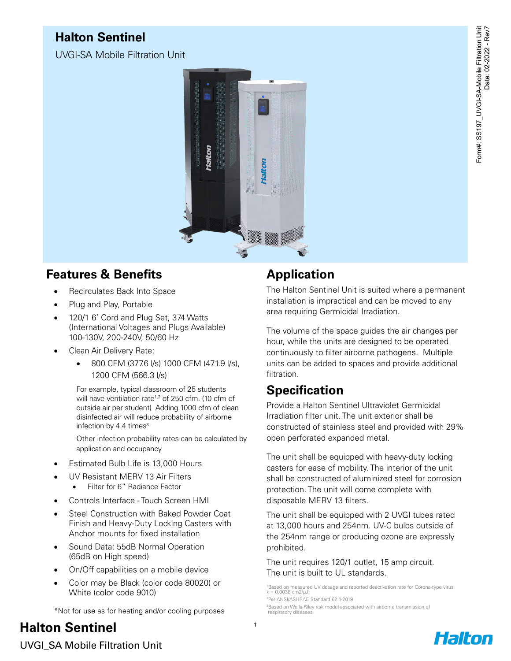## **Halton Sentinel**

UVGI-SA Mobile Filtration Unit



## **Features & Benefits**

- Recirculates Back Into Space
- Plug and Play, Portable
- 120/1 6' Cord and Plug Set, 374 Watts (International Voltages and Plugs Available) 100-130V, 200-240V, 50/60 Hz
- Clean Air Delivery Rate:
	- 800 CFM (377.6 l/s) 1000 CFM (471.9 l/s), 1200 CFM (566.3 l/s)

For example, typical classroom of 25 students will have ventilation rate<sup>1,2</sup> of 250 cfm. (10 cfm of outside air per student) Adding 1000 cfm of clean disinfected air will reduce probability of airborne infection by 4.4 times<sup>3</sup>

Other infection probability rates can be calculated by application and occupancy

- Estimated Bulb Life is 13,000 Hours
- UV Resistant MERV 13 Air Filters
	- Filter for 6" Radiance Factor
- Controls Interface Touch Screen HMI
- Steel Construction with Baked Powder Coat Finish and Heavy-Duty Locking Casters with Anchor mounts for fixed installation
- Sound Data: 55dB Normal Operation (65dB on High speed)
- On/Off capabilities on a mobile device
- Color may be Black (color code 80020) or White (color code 9010)

\*Not for use as for heating and/or cooling purposes

# **Halton Sentinel**

#### **Application**

The Halton Sentinel Unit is suited where a permanent installation is impractical and can be moved to any area requiring Germicidal Irradiation.

The volume of the space guides the air changes per hour, while the units are designed to be operated continuously to filter airborne pathogens. Multiple units can be added to spaces and provide additional filtration.

## **Specification**

Provide a Halton Sentinel Ultraviolet Germicidal Irradiation filter unit. The unit exterior shall be constructed of stainless steel and provided with 29% open perforated expanded metal.

The unit shall be equipped with heavy-duty locking casters for ease of mobility. The interior of the unit shall be constructed of aluminized steel for corrosion protection. The unit will come complete with disposable MERV 13 filters.

The unit shall be equipped with 2 UVGI tubes rated at 13,000 hours and 254nm. UV-C bulbs outside of the 254nm range or producing ozone are expressly prohibited.

The unit requires 120/1 outlet, 15 amp circuit. The unit is built to UL standards.

1 Based on measured UV dosage and reported deactivation rate for Corona-type virus  $k = 0.0038$  cm2/ $\mu$ J) 2 Per ANSI/ASHRAE Standard 62.1-2019

3 Based on Wells-Riley risk model associated with airborne transmission of respiratory diseases

UVGI\_SA Mobile Filtration Unit